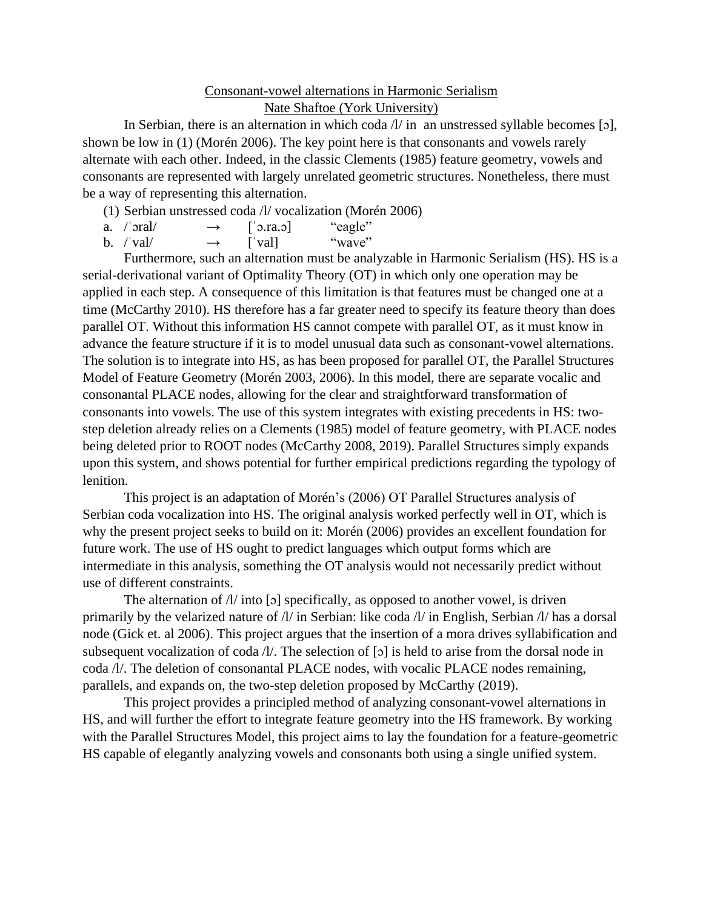## Consonant-vowel alternations in Harmonic Serialism Nate Shaftoe (York University)

In Serbian, there is an alternation in which coda  $\Lambda/$  in an unstressed syllable becomes [5], shown be low in (1) (Morén 2006). The key point here is that consonants and vowels rarely alternate with each other. Indeed, in the classic Clements (1985) feature geometry, vowels and consonants are represented with largely unrelated geometric structures. Nonetheless, there must be a way of representing this alternation.

(1) Serbian unstressed coda /l/ vocalization (Morén 2006)

| a. /ˈɔral/  | $\rightarrow$ | $\lceil$ 0. ra. o $\rceil$ | "eagle" |
|-------------|---------------|----------------------------|---------|
| $b.$ /'val/ | $\rightarrow$ | val                        | "wave"  |

Furthermore, such an alternation must be analyzable in Harmonic Serialism (HS). HS is a serial-derivational variant of Optimality Theory (OT) in which only one operation may be applied in each step. A consequence of this limitation is that features must be changed one at a time (McCarthy 2010). HS therefore has a far greater need to specify its feature theory than does parallel OT. Without this information HS cannot compete with parallel OT, as it must know in advance the feature structure if it is to model unusual data such as consonant-vowel alternations. The solution is to integrate into HS, as has been proposed for parallel OT, the Parallel Structures Model of Feature Geometry (Morén 2003, 2006). In this model, there are separate vocalic and consonantal PLACE nodes, allowing for the clear and straightforward transformation of consonants into vowels. The use of this system integrates with existing precedents in HS: twostep deletion already relies on a Clements (1985) model of feature geometry, with PLACE nodes being deleted prior to ROOT nodes (McCarthy 2008, 2019). Parallel Structures simply expands upon this system, and shows potential for further empirical predictions regarding the typology of lenition.

This project is an adaptation of Morén's (2006) OT Parallel Structures analysis of Serbian coda vocalization into HS. The original analysis worked perfectly well in OT, which is why the present project seeks to build on it: Morén (2006) provides an excellent foundation for future work. The use of HS ought to predict languages which output forms which are intermediate in this analysis, something the OT analysis would not necessarily predict without use of different constraints.

The alternation of  $\Lambda$  into [5] specifically, as opposed to another vowel, is driven primarily by the velarized nature of /l/ in Serbian: like coda /l/ in English, Serbian /l/ has a dorsal node (Gick et. al 2006). This project argues that the insertion of a mora drives syllabification and subsequent vocalization of coda /l/. The selection of [ɔ] is held to arise from the dorsal node in coda /l/. The deletion of consonantal PLACE nodes, with vocalic PLACE nodes remaining, parallels, and expands on, the two-step deletion proposed by McCarthy (2019).

This project provides a principled method of analyzing consonant-vowel alternations in HS, and will further the effort to integrate feature geometry into the HS framework. By working with the Parallel Structures Model, this project aims to lay the foundation for a feature-geometric HS capable of elegantly analyzing vowels and consonants both using a single unified system.